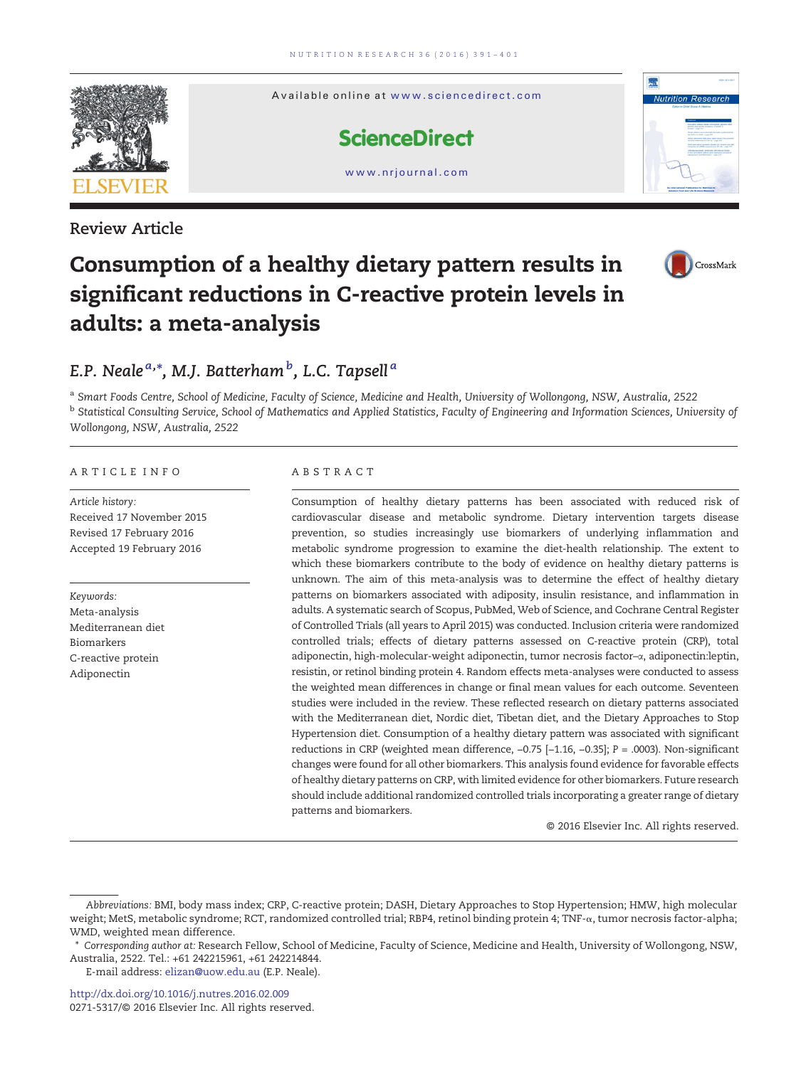Available online at [www.sciencedirect.com](http://www.sciencedirect.com/science/journal/02715317)

## **ScienceDirect**

www.nrjournal.com



# Consumption of a healthy dietary pattern results in significant reductions in C-reactive protein levels in adults: a meta-analysis



### E.P. Neale $^{a,\ast}$ , M.J. Batterham $^b$ , L.C. Tapsell $^a$

a Smart Foods Centre, School of Medicine, Faculty of Science, Medicine and Health, University of Wollongong, NSW, Australia, 2522 <sup>b</sup> Statistical Consulting Service, School of Mathematics and Applied Statistics, Faculty of Engineering and Information Sciences, University of Wollongong, NSW, Australia, 2522

#### ARTICLE INFO ABSTRACT

Review Article

Article history: Received 17 November 2015 Revised 17 February 2016 Accepted 19 February 2016

Keywords: Meta-analysis Mediterranean diet Biomarkers C-reactive protein Adiponectin

Consumption of healthy dietary patterns has been associated with reduced risk of cardiovascular disease and metabolic syndrome. Dietary intervention targets disease prevention, so studies increasingly use biomarkers of underlying inflammation and metabolic syndrome progression to examine the diet-health relationship. The extent to which these biomarkers contribute to the body of evidence on healthy dietary patterns is unknown. The aim of this meta-analysis was to determine the effect of healthy dietary patterns on biomarkers associated with adiposity, insulin resistance, and inflammation in adults. A systematic search of Scopus, PubMed, Web of Science, and Cochrane Central Register of Controlled Trials (all years to April 2015) was conducted. Inclusion criteria were randomized controlled trials; effects of dietary patterns assessed on C-reactive protein (CRP), total adiponectin, high-molecular-weight adiponectin, tumor necrosis factor–α, adiponectin:leptin, resistin, or retinol binding protein 4. Random effects meta-analyses were conducted to assess the weighted mean differences in change or final mean values for each outcome. Seventeen studies were included in the review. These reflected research on dietary patterns associated with the Mediterranean diet, Nordic diet, Tibetan diet, and the Dietary Approaches to Stop Hypertension diet. Consumption of a healthy dietary pattern was associated with significant reductions in CRP (weighted mean difference, −0.75 [−1.16, −0.35]; P = .0003). Non-significant changes were found for all other biomarkers. This analysis found evidence for favorable effects of healthy dietary patterns on CRP, with limited evidence for other biomarkers. Future research should include additional randomized controlled trials incorporating a greater range of dietary patterns and biomarkers.

© 2016 Elsevier Inc. All rights reserved.

E-mail address: [elizan@uow.edu.au](mailto:elizan@uow.edu.au) (E.P. Neale).

Abbreviations: BMI, body mass index; CRP, C-reactive protein; DASH, Dietary Approaches to Stop Hypertension; HMW, high molecular weight; MetS, metabolic syndrome; RCT, randomized controlled trial; RBP4, retinol binding protein 4; TNF-α, tumor necrosis factor-alpha; WMD, weighted mean difference.

<sup>⁎</sup> Corresponding author at: Research Fellow, School of Medicine, Faculty of Science, Medicine and Health, University of Wollongong, NSW, Australia, 2522. Tel.: +61 242215961, +61 242214844.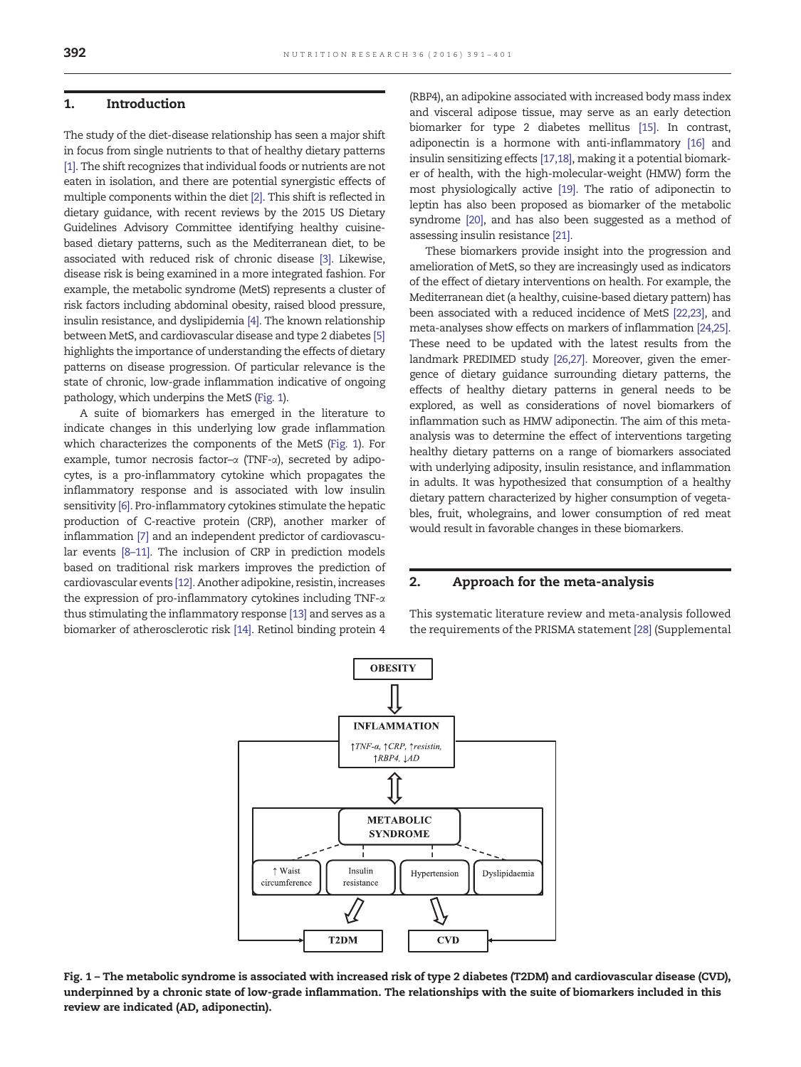#### 1. Introduction

The study of the diet-disease relationship has seen a major shift in focus from single nutrients to that of healthy dietary patterns [\[1\]](#page-8-0). The shift recognizes that individual foods or nutrients are not eaten in isolation, and there are potential synergistic effects of multiple components within the diet [\[2\].](#page-8-0) This shift is reflected in dietary guidance, with recent reviews by the 2015 US Dietary Guidelines Advisory Committee identifying healthy cuisinebased dietary patterns, such as the Mediterranean diet, to be associated with reduced risk of chronic disease [\[3\].](#page-8-0) Likewise, disease risk is being examined in a more integrated fashion. For example, the metabolic syndrome (MetS) represents a cluster of risk factors including abdominal obesity, raised blood pressure, insulin resistance, and dyslipidemia [\[4\]](#page-8-0). The known relationship between MetS, and cardiovascular disease and type 2 diabetes [\[5\]](#page-8-0) highlights the importance of understanding the effects of dietary patterns on disease progression. Of particular relevance is the state of chronic, low-grade inflammation indicative of ongoing pathology, which underpins the MetS (Fig. 1).

A suite of biomarkers has emerged in the literature to indicate changes in this underlying low grade inflammation which characterizes the components of the MetS (Fig. 1). For example, tumor necrosis factor–α (TNF-α), secreted by adipocytes, is a pro-inflammatory cytokine which propagates the inflammatory response and is associated with low insulin sensitivity [\[6\]](#page-8-0). Pro-inflammatory cytokines stimulate the hepatic production of C-reactive protein (CRP), another marker of inflammation [\[7\]](#page-9-0) and an independent predictor of cardiovascular events [8–[11\]](#page-9-0). The inclusion of CRP in prediction models based on traditional risk markers improves the prediction of cardiovascular events [\[12\].](#page-9-0) Another adipokine, resistin, increases the expression of pro-inflammatory cytokines including TNF-α thus stimulating the inflammatory response [\[13\]](#page-9-0) and serves as a biomarker of atherosclerotic risk [\[14\]](#page-9-0). Retinol binding protein 4

(RBP4), an adipokine associated with increased body mass index and visceral adipose tissue, may serve as an early detection biomarker for type 2 diabetes mellitus [\[15\].](#page-9-0) In contrast, adiponectin is a hormone with anti-inflammatory [\[16\]](#page-9-0) and insulin sensitizing effects [\[17,18\]](#page-9-0), making it a potential biomarker of health, with the high-molecular-weight (HMW) form the most physiologically active [\[19\].](#page-9-0) The ratio of adiponectin to leptin has also been proposed as biomarker of the metabolic syndrome [\[20\]](#page-9-0), and has also been suggested as a method of assessing insulin resistance [\[21\].](#page-9-0)

These biomarkers provide insight into the progression and amelioration of MetS, so they are increasingly used as indicators of the effect of dietary interventions on health. For example, the Mediterranean diet (a healthy, cuisine-based dietary pattern) has been associated with a reduced incidence of MetS [\[22,23\]](#page-9-0), and meta-analyses show effects on markers of inflammation [\[24,25\]](#page-9-0). These need to be updated with the latest results from the landmark PREDIMED study [\[26,27\].](#page-9-0) Moreover, given the emergence of dietary guidance surrounding dietary patterns, the effects of healthy dietary patterns in general needs to be explored, as well as considerations of novel biomarkers of inflammation such as HMW adiponectin. The aim of this metaanalysis was to determine the effect of interventions targeting healthy dietary patterns on a range of biomarkers associated with underlying adiposity, insulin resistance, and inflammation in adults. It was hypothesized that consumption of a healthy dietary pattern characterized by higher consumption of vegetables, fruit, wholegrains, and lower consumption of red meat would result in favorable changes in these biomarkers.

### 2. Approach for the meta-analysis

This systematic literature review and meta-analysis followed the requirements of the PRISMA statement [\[28\]](#page-9-0) (Supplemental



Fig. 1 – The metabolic syndrome is associated with increased risk of type 2 diabetes (T2DM) and cardiovascular disease (CVD), underpinned by a chronic state of low-grade inflammation. The relationships with the suite of biomarkers included in this review are indicated (AD, adiponectin).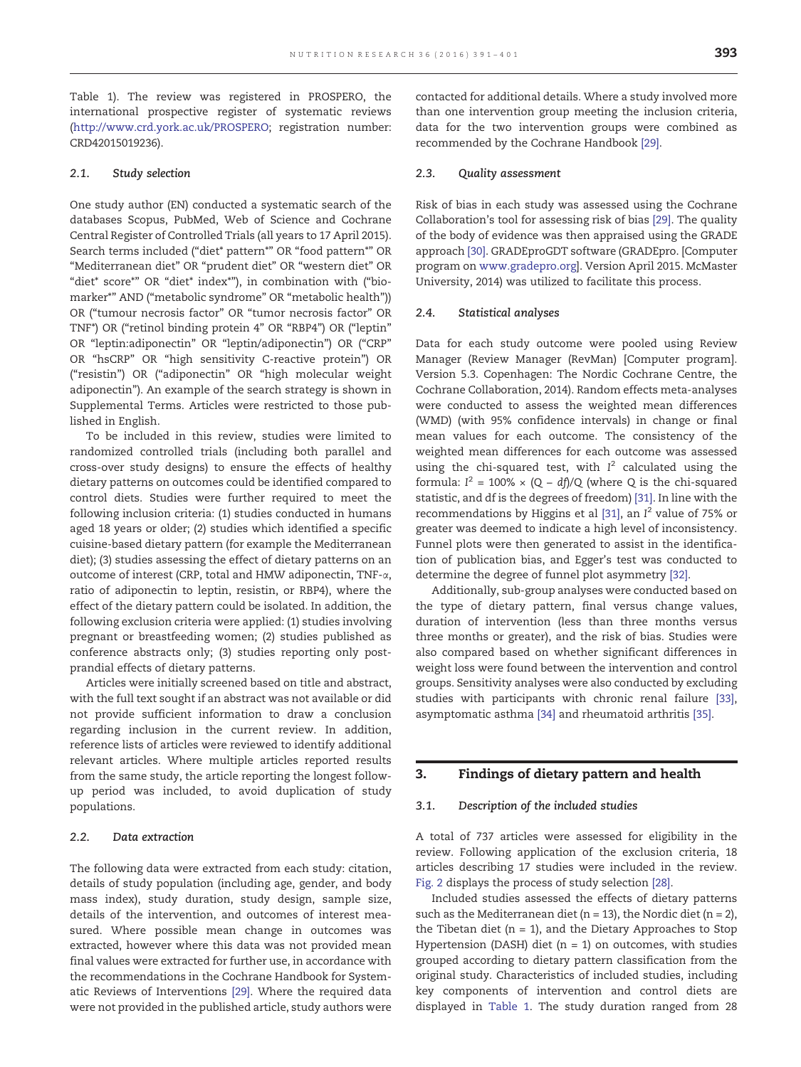Table 1). The review was registered in PROSPERO, the international prospective register of systematic reviews [\(http://www.crd.york.ac.uk/PROSPERO](http://www.crd.york.ac.uk/PROSPERO); registration number: CRD42015019236).

#### 2.1. Study selection

One study author (EN) conducted a systematic search of the databases Scopus, PubMed, Web of Science and Cochrane Central Register of Controlled Trials (all years to 17 April 2015). Search terms included ("diet\* pattern\*" OR "food pattern\*" OR "Mediterranean diet" OR "prudent diet" OR "western diet" OR "diet\* score\*" OR "diet\* index\*"), in combination with ("biomarker\*" AND ("metabolic syndrome" OR "metabolic health")) OR ("tumour necrosis factor" OR "tumor necrosis factor" OR TNF\*) OR ("retinol binding protein 4" OR "RBP4") OR ("leptin" OR "leptin:adiponectin" OR "leptin/adiponectin") OR ("CRP" OR "hsCRP" OR "high sensitivity C-reactive protein") OR ("resistin") OR ("adiponectin" OR "high molecular weight adiponectin"). An example of the search strategy is shown in Supplemental Terms. Articles were restricted to those published in English.

To be included in this review, studies were limited to randomized controlled trials (including both parallel and cross-over study designs) to ensure the effects of healthy dietary patterns on outcomes could be identified compared to control diets. Studies were further required to meet the following inclusion criteria: (1) studies conducted in humans aged 18 years or older; (2) studies which identified a specific cuisine-based dietary pattern (for example the Mediterranean diet); (3) studies assessing the effect of dietary patterns on an outcome of interest (CRP, total and HMW adiponectin, TNF-α, ratio of adiponectin to leptin, resistin, or RBP4), where the effect of the dietary pattern could be isolated. In addition, the following exclusion criteria were applied: (1) studies involving pregnant or breastfeeding women; (2) studies published as conference abstracts only; (3) studies reporting only postprandial effects of dietary patterns.

Articles were initially screened based on title and abstract, with the full text sought if an abstract was not available or did not provide sufficient information to draw a conclusion regarding inclusion in the current review. In addition, reference lists of articles were reviewed to identify additional relevant articles. Where multiple articles reported results from the same study, the article reporting the longest followup period was included, to avoid duplication of study populations.

#### 2.2. Data extraction

The following data were extracted from each study: citation, details of study population (including age, gender, and body mass index), study duration, study design, sample size, details of the intervention, and outcomes of interest measured. Where possible mean change in outcomes was extracted, however where this data was not provided mean final values were extracted for further use, in accordance with the recommendations in the Cochrane Handbook for Systematic Reviews of Interventions [\[29\].](#page-9-0) Where the required data were not provided in the published article, study authors were contacted for additional details. Where a study involved more than one intervention group meeting the inclusion criteria, data for the two intervention groups were combined as recommended by the Cochrane Handbook [\[29\].](#page-9-0)

#### 2.3. Quality assessment

Risk of bias in each study was assessed using the Cochrane Collaboration's tool for assessing risk of bias [\[29\].](#page-9-0) The quality of the body of evidence was then appraised using the GRADE approach [\[30\]](#page-9-0). GRADEproGDT software (GRADEpro. [Computer program on [www.gradepro.org](http://www.gradepro.org)]. Version April 2015. McMaster University, 2014) was utilized to facilitate this process.

#### 2.4. Statistical analyses

Data for each study outcome were pooled using Review Manager (Review Manager (RevMan) [Computer program]. Version 5.3. Copenhagen: The Nordic Cochrane Centre, the Cochrane Collaboration, 2014). Random effects meta-analyses were conducted to assess the weighted mean differences (WMD) (with 95% confidence intervals) in change or final mean values for each outcome. The consistency of the weighted mean differences for each outcome was assessed using the chi-squared test, with  $I^2$  calculated using the formula:  $I^2 = 100\% \times (Q - df)/Q$  (where Q is the chi-squared statistic, and df is the degrees of freedom) [\[31\]](#page-9-0). In line with the recommendations by Higgins et al  $[31]$ , an  $I^2$  value of 75% or greater was deemed to indicate a high level of inconsistency. Funnel plots were then generated to assist in the identification of publication bias, and Egger's test was conducted to determine the degree of funnel plot asymmetry [\[32\]](#page-9-0).

Additionally, sub-group analyses were conducted based on the type of dietary pattern, final versus change values, duration of intervention (less than three months versus three months or greater), and the risk of bias. Studies were also compared based on whether significant differences in weight loss were found between the intervention and control groups. Sensitivity analyses were also conducted by excluding studies with participants with chronic renal failure [\[33\],](#page-9-0) asymptomatic asthma [\[34\]](#page-9-0) and rheumatoid arthritis [\[35\].](#page-9-0)

#### 3. Findings of dietary pattern and health

#### 3.1. Description of the included studies

A total of 737 articles were assessed for eligibility in the review. Following application of the exclusion criteria, 18 articles describing 17 studies were included in the review. [Fig. 2](#page-3-0) displays the process of study selection [\[28\]](#page-9-0).

Included studies assessed the effects of dietary patterns such as the Mediterranean diet ( $n = 13$ ), the Nordic diet ( $n = 2$ ), the Tibetan diet  $(n = 1)$ , and the Dietary Approaches to Stop Hypertension (DASH) diet ( $n = 1$ ) on outcomes, with studies grouped according to dietary pattern classification from the original study. Characteristics of included studies, including key components of intervention and control diets are displayed in [Table 1.](#page-5-0) The study duration ranged from 28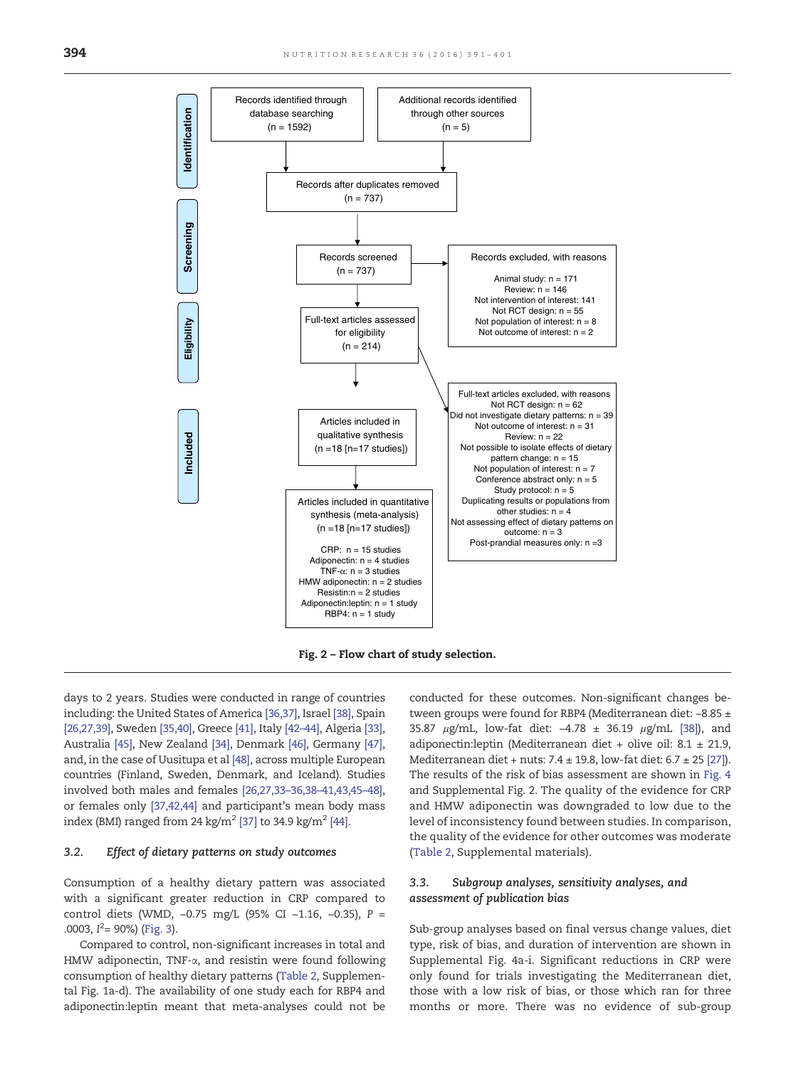<span id="page-3-0"></span>

Fig. 2 – Flow chart of study selection.

days to 2 years. Studies were conducted in range of countries including: the United States of America [\[36,37\]](#page-9-0), Israel [\[38\]](#page-9-0), Spain [\[26,27,39\],](#page-9-0) Sweden [\[35,40\]](#page-9-0), Greece [\[41\],](#page-9-0) Italy [\[42](#page-9-0)–44], Algeria [\[33\],](#page-9-0) Australia [\[45\]](#page-10-0), New Zealand [\[34\]](#page-9-0), Denmark [\[46\]](#page-10-0), Germany [\[47\],](#page-10-0) and, in the case of Uusitupa et al [\[48\]](#page-10-0), across multiple European countries (Finland, Sweden, Denmark, and Iceland). Studies involved both males and females [\[26,27,33](#page-9-0)–36,38–41,43,45–48], or females only [\[37,42,44\]](#page-9-0) and participant's mean body mass index (BMI) ranged from 24 kg/m<sup>2</sup> [\[37\]](#page-9-0) to 34.9 kg/m<sup>2</sup> [\[44\]](#page-10-0).

#### 3.2. Effect of dietary patterns on study outcomes

Consumption of a healthy dietary pattern was associated with a significant greater reduction in CRP compared to control diets (WMD, −0.75 mg/L (95% CI −1.16, −0.35), P = .0003,  $I^2$ = 90%) [\(Fig. 3](#page-7-0)).

Compared to control, non-significant increases in total and HMW adiponectin, TNF-α, and resistin were found following consumption of healthy dietary patterns [\(Table 2,](#page-7-0) Supplemental Fig. 1a-d). The availability of one study each for RBP4 and adiponectin:leptin meant that meta-analyses could not be

conducted for these outcomes. Non-significant changes between groups were found for RBP4 (Mediterranean diet: −8.85 ± 35.87 μg/mL, low-fat diet: −4.78 ± 36.19 μg/mL [\[38\]](#page-9-0)), and adiponectin:leptin (Mediterranean diet + olive oil:  $8.1 \pm 21.9$ , Mediterranean diet + nuts:  $7.4 \pm 19.8$ , low-fat diet:  $6.7 \pm 25$  [\[27\]\)](#page-9-0). The results of the risk of bias assessment are shown in [Fig. 4](#page-8-0) and Supplemental Fig. 2. The quality of the evidence for CRP and HMW adiponectin was downgraded to low due to the level of inconsistency found between studies. In comparison, the quality of the evidence for other outcomes was moderate [\(Table 2,](#page-7-0) Supplemental materials).

#### 3.3. Subgroup analyses, sensitivity analyses, and assessment of publication bias

Sub-group analyses based on final versus change values, diet type, risk of bias, and duration of intervention are shown in Supplemental Fig. 4a-i. Significant reductions in CRP were only found for trials investigating the Mediterranean diet, those with a low risk of bias, or those which ran for three months or more. There was no evidence of sub-group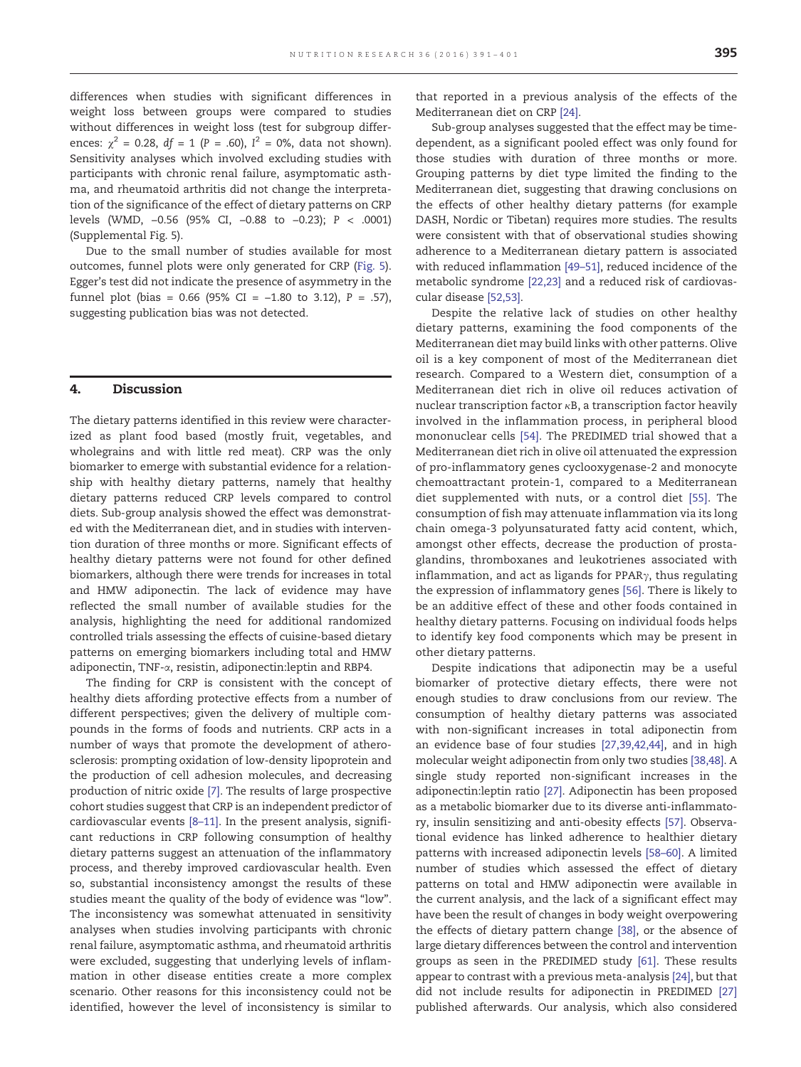differences when studies with significant differences in weight loss between groups were compared to studies without differences in weight loss (test for subgroup differences:  $\chi^2 = 0.28$ , df = 1 (P = .60),  $I^2 = 0$ %, data not shown). Sensitivity analyses which involved excluding studies with participants with chronic renal failure, asymptomatic asthma, and rheumatoid arthritis did not change the interpretation of the significance of the effect of dietary patterns on CRP levels (WMD, −0.56 (95% CI, −0.88 to −0.23); P < .0001) (Supplemental Fig. 5).

Due to the small number of studies available for most outcomes, funnel plots were only generated for CRP ([Fig. 5\)](#page-8-0). Egger's test did not indicate the presence of asymmetry in the funnel plot (bias = 0.66 (95% CI =  $-1.80$  to 3.12), P = .57), suggesting publication bias was not detected.

#### 4. Discussion

The dietary patterns identified in this review were characterized as plant food based (mostly fruit, vegetables, and wholegrains and with little red meat). CRP was the only biomarker to emerge with substantial evidence for a relationship with healthy dietary patterns, namely that healthy dietary patterns reduced CRP levels compared to control diets. Sub-group analysis showed the effect was demonstrated with the Mediterranean diet, and in studies with intervention duration of three months or more. Significant effects of healthy dietary patterns were not found for other defined biomarkers, although there were trends for increases in total and HMW adiponectin. The lack of evidence may have reflected the small number of available studies for the analysis, highlighting the need for additional randomized controlled trials assessing the effects of cuisine-based dietary patterns on emerging biomarkers including total and HMW adiponectin, TNF-α, resistin, adiponectin:leptin and RBP4.

The finding for CRP is consistent with the concept of healthy diets affording protective effects from a number of different perspectives; given the delivery of multiple compounds in the forms of foods and nutrients. CRP acts in a number of ways that promote the development of atherosclerosis: prompting oxidation of low-density lipoprotein and the production of cell adhesion molecules, and decreasing production of nitric oxide [\[7\]](#page-9-0). The results of large prospective cohort studies suggest that CRP is an independent predictor of cardiovascular events [8–[11\]](#page-9-0). In the present analysis, significant reductions in CRP following consumption of healthy dietary patterns suggest an attenuation of the inflammatory process, and thereby improved cardiovascular health. Even so, substantial inconsistency amongst the results of these studies meant the quality of the body of evidence was "low". The inconsistency was somewhat attenuated in sensitivity analyses when studies involving participants with chronic renal failure, asymptomatic asthma, and rheumatoid arthritis were excluded, suggesting that underlying levels of inflammation in other disease entities create a more complex scenario. Other reasons for this inconsistency could not be identified, however the level of inconsistency is similar to

that reported in a previous analysis of the effects of the Mediterranean diet on CRP [\[24\].](#page-9-0)

Sub-group analyses suggested that the effect may be timedependent, as a significant pooled effect was only found for those studies with duration of three months or more. Grouping patterns by diet type limited the finding to the Mediterranean diet, suggesting that drawing conclusions on the effects of other healthy dietary patterns (for example DASH, Nordic or Tibetan) requires more studies. The results were consistent with that of observational studies showing adherence to a Mediterranean dietary pattern is associated with reduced inflammation [49–[51\]](#page-10-0), reduced incidence of the metabolic syndrome [\[22,23\]](#page-9-0) and a reduced risk of cardiovascular disease [\[52,53\].](#page-10-0)

Despite the relative lack of studies on other healthy dietary patterns, examining the food components of the Mediterranean diet may build links with other patterns. Olive oil is a key component of most of the Mediterranean diet research. Compared to a Western diet, consumption of a Mediterranean diet rich in olive oil reduces activation of nuclear transcription factor  $\kappa$ B, a transcription factor heavily involved in the inflammation process, in peripheral blood mononuclear cells [\[54\].](#page-10-0) The PREDIMED trial showed that a Mediterranean diet rich in olive oil attenuated the expression of pro-inflammatory genes cyclooxygenase-2 and monocyte chemoattractant protein-1, compared to a Mediterranean diet supplemented with nuts, or a control diet [\[55\].](#page-10-0) The consumption of fish may attenuate inflammation via its long chain omega-3 polyunsaturated fatty acid content, which, amongst other effects, decrease the production of prostaglandins, thromboxanes and leukotrienes associated with inflammation, and act as ligands for PPAR $\gamma$ , thus regulating the expression of inflammatory genes [\[56\].](#page-10-0) There is likely to be an additive effect of these and other foods contained in healthy dietary patterns. Focusing on individual foods helps to identify key food components which may be present in other dietary patterns.

Despite indications that adiponectin may be a useful biomarker of protective dietary effects, there were not enough studies to draw conclusions from our review. The consumption of healthy dietary patterns was associated with non-significant increases in total adiponectin from an evidence base of four studies [\[27,39,42,44\]](#page-9-0), and in high molecular weight adiponectin from only two studies [\[38,48\].](#page-9-0) A single study reported non-significant increases in the adiponectin:leptin ratio [\[27\].](#page-9-0) Adiponectin has been proposed as a metabolic biomarker due to its diverse anti-inflammatory, insulin sensitizing and anti-obesity effects [\[57\].](#page-10-0) Observational evidence has linked adherence to healthier dietary patterns with increased adiponectin levels [58–[60\]](#page-10-0). A limited number of studies which assessed the effect of dietary patterns on total and HMW adiponectin were available in the current analysis, and the lack of a significant effect may have been the result of changes in body weight overpowering the effects of dietary pattern change [\[38\],](#page-9-0) or the absence of large dietary differences between the control and intervention groups as seen in the PREDIMED study [\[61\].](#page-10-0) These results appear to contrast with a previous meta-analysis [\[24\]](#page-9-0), but that did not include results for adiponectin in PREDIMED [\[27\]](#page-9-0) published afterwards. Our analysis, which also considered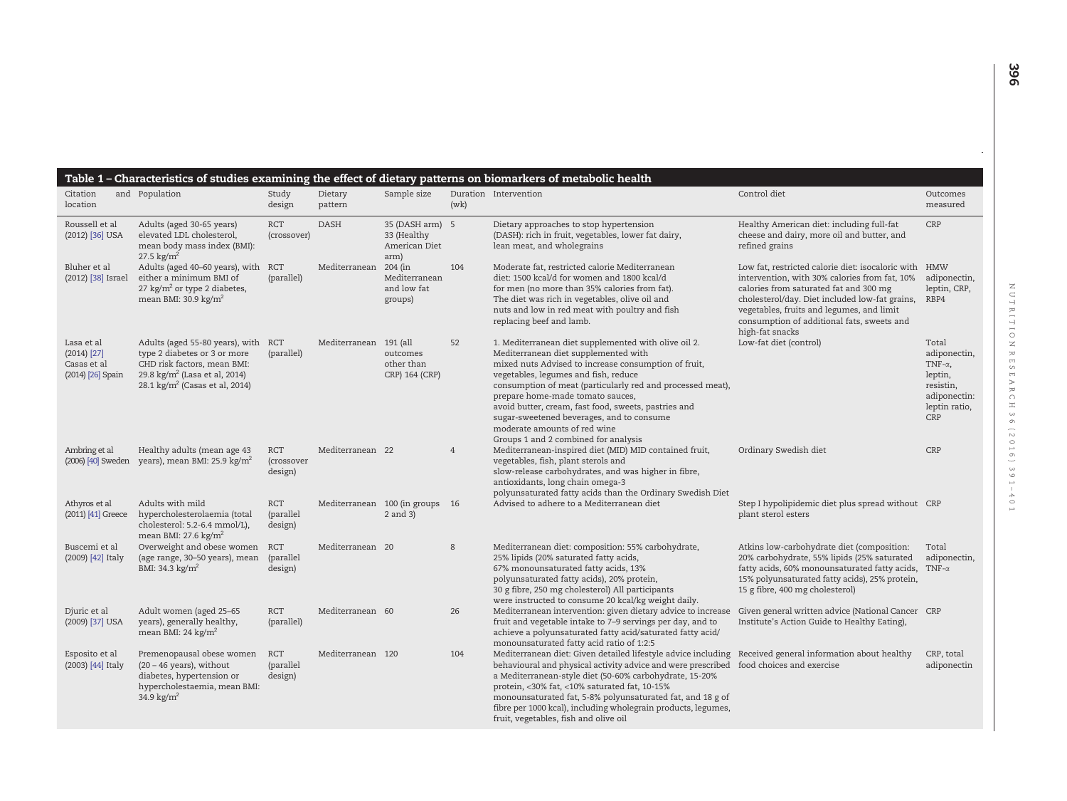<span id="page-5-0"></span>

| Table 1 – Characteristics of studies examining the effect of dietary patterns on biomarkers of metabolic health |                                                                                                                                                                                             |                                     |                        |                                                         |                |                                                                                                                                                                                                                                                                                                                                                                                                                                                                                        |                                                                                                                                                                                                                                                                                                                       |                                                                                                          |  |
|-----------------------------------------------------------------------------------------------------------------|---------------------------------------------------------------------------------------------------------------------------------------------------------------------------------------------|-------------------------------------|------------------------|---------------------------------------------------------|----------------|----------------------------------------------------------------------------------------------------------------------------------------------------------------------------------------------------------------------------------------------------------------------------------------------------------------------------------------------------------------------------------------------------------------------------------------------------------------------------------------|-----------------------------------------------------------------------------------------------------------------------------------------------------------------------------------------------------------------------------------------------------------------------------------------------------------------------|----------------------------------------------------------------------------------------------------------|--|
| Citation<br>location                                                                                            | and Population                                                                                                                                                                              | Study<br>design                     | Dietary<br>pattern     | Sample size                                             | (wk)           | Duration Intervention                                                                                                                                                                                                                                                                                                                                                                                                                                                                  | Control diet                                                                                                                                                                                                                                                                                                          | Outcomes<br>measured                                                                                     |  |
| Roussell et al<br>(2012) [36] USA                                                                               | Adults (aged 30-65 years)<br>elevated LDL cholesterol,<br>mean body mass index (BMI):<br>27.5 $\text{kg/m}^2$                                                                               | RCT<br>(crossover)                  | <b>DASH</b>            | 35 (DASH arm) 5<br>33 (Healthy<br>American Diet<br>arm) |                | Dietary approaches to stop hypertension<br>(DASH): rich in fruit, vegetables, lower fat dairy,<br>lean meat, and wholegrains                                                                                                                                                                                                                                                                                                                                                           | Healthy American diet: including full-fat<br>cheese and dairy, more oil and butter, and<br>refined grains                                                                                                                                                                                                             | CRP                                                                                                      |  |
| Bluher et al<br>(2012) [38] Israel                                                                              | Adults (aged 40-60 years), with RCT<br>either a minimum BMI of<br>27 $\text{kg/m}^2$ or type 2 diabetes,<br>mean BMI: 30.9 kg/m <sup>2</sup>                                                | (parallel)                          | Mediterranean          | 204 (in<br>Mediterranean<br>and low fat<br>groups)      | 104            | Moderate fat, restricted calorie Mediterranean<br>diet: 1500 kcal/d for women and 1800 kcal/d<br>for men (no more than 35% calories from fat).<br>The diet was rich in vegetables, olive oil and<br>nuts and low in red meat with poultry and fish<br>replacing beef and lamb.                                                                                                                                                                                                         | Low fat, restricted calorie diet: isocaloric with HMW<br>intervention, with 30% calories from fat, 10%<br>calories from saturated fat and 300 mg<br>cholesterol/day. Diet included low-fat grains, RBP4<br>vegetables, fruits and legumes, and limit<br>consumption of additional fats, sweets and<br>high-fat snacks | adiponectin,<br>leptin, CRP,                                                                             |  |
| Lasa et al<br>$(2014)$ $[27]$<br>Casas et al<br>(2014) [26] Spain                                               | Adults (aged 55-80 years), with RCT<br>type 2 diabetes or 3 or more<br>CHD risk factors, mean BMI:<br>29.8 kg/m <sup>2</sup> (Lasa et al, 2014)<br>28.1 $\text{kg/m}^2$ (Casas et al, 2014) | (parallel)                          | Mediterranean 191 (all | outcomes<br>other than<br>CRP) 164 (CRP)                | 52             | 1. Mediterranean diet supplemented with olive oil 2.<br>Mediterranean diet supplemented with<br>mixed nuts Advised to increase consumption of fruit,<br>vegetables, legumes and fish, reduce<br>consumption of meat (particularly red and processed meat),<br>prepare home-made tomato sauces,<br>avoid butter, cream, fast food, sweets, pastries and<br>sugar-sweetened beverages, and to consume<br>moderate amounts of red wine<br>Groups 1 and 2 combined for analysis            | Low-fat diet (control)                                                                                                                                                                                                                                                                                                | Total<br>adiponectin,<br>TNF- $\alpha$ ,<br>leptin,<br>resistin,<br>adiponectin:<br>leptin ratio,<br>CRP |  |
| Ambring et al<br>(2006) [40] Sweden                                                                             | Healthy adults (mean age 43<br>years), mean BMI: 25.9 $\text{kg/m}^2$                                                                                                                       | <b>RCT</b><br>(crossover<br>design) | Mediterranean 22       |                                                         | $\overline{4}$ | Mediterranean-inspired diet (MID) MID contained fruit,<br>vegetables, fish, plant sterols and<br>slow-release carbohydrates, and was higher in fibre,<br>antioxidants, long chain omega-3<br>polyunsaturated fatty acids than the Ordinary Swedish Diet                                                                                                                                                                                                                                | Ordinary Swedish diet                                                                                                                                                                                                                                                                                                 | CRP                                                                                                      |  |
| Athyros et al<br>$(2011)$ [41] Greece                                                                           | Adults with mild<br>hypercholesterolaemia (total<br>cholesterol: 5.2-6.4 mmol/L),<br>mean BMI: $27.6 \text{ kg/m}^2$                                                                        | <b>RCT</b><br>(parallel<br>design)  |                        | Mediterranean 100 (in groups 16<br>$2$ and $3)$         |                | Advised to adhere to a Mediterranean diet                                                                                                                                                                                                                                                                                                                                                                                                                                              | Step I hypolipidemic diet plus spread without CRP<br>plant sterol esters                                                                                                                                                                                                                                              |                                                                                                          |  |
| Buscemi et al<br>(2009) [42] Italy                                                                              | Overweight and obese women<br>(age range, 30-50 years), mean<br>BMI: 34.3 $\text{kg/m}^2$                                                                                                   | <b>RCT</b><br>(parallel<br>design)  | Mediterranean 20       |                                                         | 8              | Mediterranean diet: composition: 55% carbohydrate,<br>25% lipids (20% saturated fatty acids,<br>67% monounsaturated fatty acids, 13%<br>polyunsaturated fatty acids), 20% protein,<br>30 g fibre, 250 mg cholesterol) All participants<br>were instructed to consume 20 kcal/kg weight daily.                                                                                                                                                                                          | Atkins low-carbohydrate diet (composition:<br>20% carbohydrate, 55% lipids (25% saturated<br>fatty acids, 60% monounsaturated fatty acids, TNF- $\alpha$<br>15% polyunsaturated fatty acids), 25% protein,<br>15 g fibre, 400 mg cholesterol)                                                                         | Total<br>adiponectin,                                                                                    |  |
| Djuric et al<br>(2009) [37] USA                                                                                 | Adult women (aged 25-65<br>years), generally healthy,<br>mean BMI: 24 $\text{kg/m}^2$                                                                                                       | <b>RCT</b><br>(parallel)            | Mediterranean 60       |                                                         | 26             | Mediterranean intervention: given dietary advice to increase<br>fruit and vegetable intake to 7-9 servings per day, and to<br>achieve a polyunsaturated fatty acid/saturated fatty acid/<br>monounsaturated fatty acid ratio of 1:2:5                                                                                                                                                                                                                                                  | Given general written advice (National Cancer CRP<br>Institute's Action Guide to Healthy Eating),                                                                                                                                                                                                                     |                                                                                                          |  |
| Esposito et al<br>(2003) [44] Italy                                                                             | Premenopausal obese women<br>$(20 - 46$ years), without<br>diabetes, hypertension or<br>hypercholestaemia, mean BMI:<br>34.9 $\text{kg/m}^2$                                                | RCT<br>(parallel<br>design)         | Mediterranean 120      |                                                         | 104            | Mediterranean diet: Given detailed lifestyle advice including Received general information about healthy<br>behavioural and physical activity advice and were prescribed food choices and exercise<br>a Mediterranean-style diet (50-60% carbohydrate, 15-20%<br>protein, <30% fat, <10% saturated fat, 10-15%<br>monounsaturated fat, 5-8% polyunsaturated fat, and 18 g of<br>fibre per 1000 kcal), including wholegrain products, legumes,<br>fruit, vegetables, fish and olive oil |                                                                                                                                                                                                                                                                                                                       | CRP, total<br>adiponectin                                                                                |  |

 $\hat{\boldsymbol{\theta}}$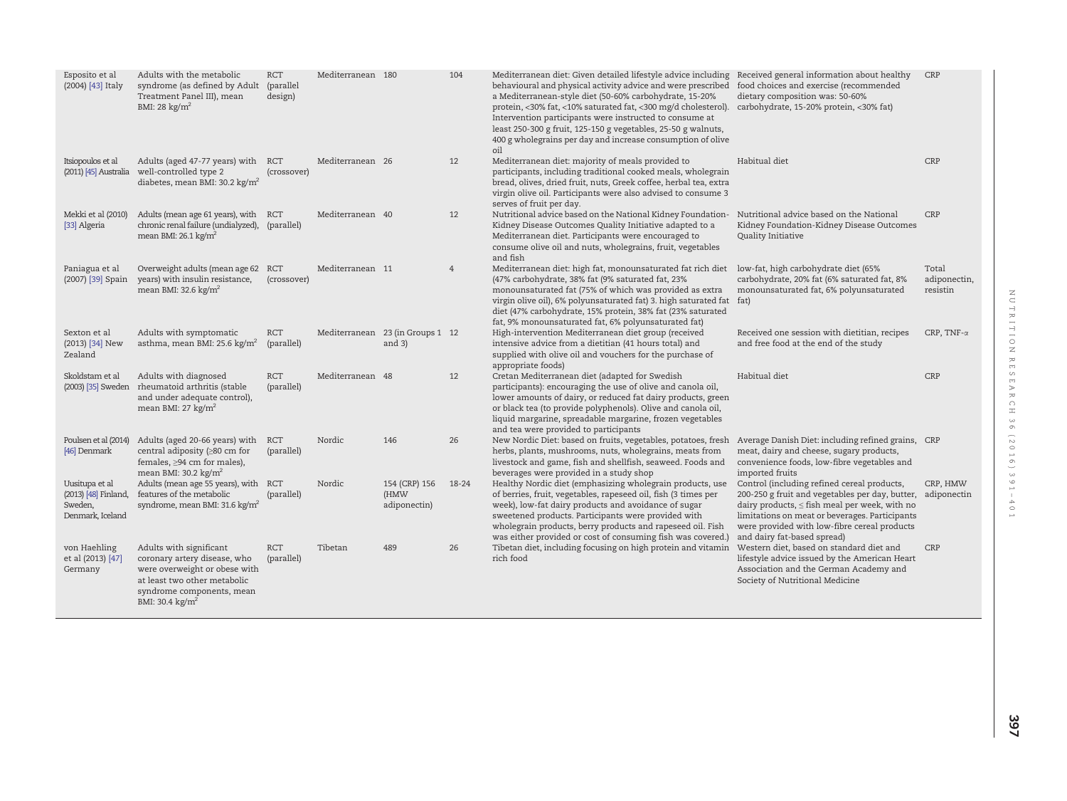| Esposito et al<br>(2004) [43] Italy                                   | Adults with the metabolic<br>syndrome (as defined by Adult<br>Treatment Panel III), mean<br>BMI: 28 $\text{kg/m}^2$                                                                | $\mathop{\mathrm{RCT}}$<br>(parallel<br>design) | Mediterranean 180 |                                              | 104            | Mediterranean diet: Given detailed lifestyle advice including Received general information about healthy<br>behavioural and physical activity advice and were prescribed food choices and exercise (recommended<br>a Mediterranean-style diet (50-60% carbohydrate, 15-20%<br>protein, <30% fat, <10% saturated fat, <300 mg/d cholesterol). carbohydrate, 15-20% protein, <30% fat)<br>Intervention participants were instructed to consume at<br>least 250-300 g fruit, 125-150 g vegetables, 25-50 g walnuts,<br>400 g wholegrains per day and increase consumption of olive<br>oil | dietary composition was: 50-60%                                                                                                                                                                                                                                                                  | CRP                               |
|-----------------------------------------------------------------------|------------------------------------------------------------------------------------------------------------------------------------------------------------------------------------|-------------------------------------------------|-------------------|----------------------------------------------|----------------|----------------------------------------------------------------------------------------------------------------------------------------------------------------------------------------------------------------------------------------------------------------------------------------------------------------------------------------------------------------------------------------------------------------------------------------------------------------------------------------------------------------------------------------------------------------------------------------|--------------------------------------------------------------------------------------------------------------------------------------------------------------------------------------------------------------------------------------------------------------------------------------------------|-----------------------------------|
| Itsiopoulos et al<br>(2011) [45] Australia                            | Adults (aged 47-77 years) with<br>well-controlled type 2<br>diabetes, mean BMI: 30.2 kg/m <sup>2</sup>                                                                             | RCT<br>(crossover)                              | Mediterranean 26  |                                              | 12             | Mediterranean diet: majority of meals provided to<br>participants, including traditional cooked meals, wholegrain<br>bread, olives, dried fruit, nuts, Greek coffee, herbal tea, extra<br>virgin olive oil. Participants were also advised to consume 3<br>serves of fruit per day.                                                                                                                                                                                                                                                                                                    | Habitual diet                                                                                                                                                                                                                                                                                    | CRP                               |
| Mekki et al (2010)<br>[33] Algeria                                    | Adults (mean age 61 years), with<br>chronic renal failure (undialyzed), (parallel)<br>mean BMI: $26.1 \text{ kg/m}^2$                                                              | RCT                                             | Mediterranean 40  |                                              | 12             | Nutritional advice based on the National Kidney Foundation- Nutritional advice based on the National<br>Kidney Disease Outcomes Quality Initiative adapted to a<br>Mediterranean diet. Participants were encouraged to<br>consume olive oil and nuts, wholegrains, fruit, vegetables<br>and fish                                                                                                                                                                                                                                                                                       | Kidney Foundation-Kidney Disease Outcomes<br>Quality Initiative                                                                                                                                                                                                                                  | CRP                               |
| Paniagua et al<br>(2007) [39] Spain                                   | Overweight adults (mean age 62 RCT<br>years) with insulin resistance,<br>mean BMI: 32.6 $\text{kg/m}^2$                                                                            | (crossover)                                     | Mediterranean 11  |                                              | $\overline{4}$ | Mediterranean diet: high fat, monounsaturated fat rich diet<br>(47% carbohydrate, 38% fat (9% saturated fat, 23%<br>monounsaturated fat (75% of which was provided as extra<br>virgin olive oil), 6% polyunsaturated fat) 3. high saturated fat fat)<br>diet (47% carbohydrate, 15% protein, 38% fat (23% saturated<br>fat, 9% monounsaturated fat, 6% polyunsaturated fat)                                                                                                                                                                                                            | low-fat, high carbohydrate diet (65%<br>carbohydrate, 20% fat (6% saturated fat, 8%<br>monounsaturated fat, 6% polyunsaturated                                                                                                                                                                   | Total<br>adiponectin,<br>resistin |
| Sexton et al<br>(2013) [34] New<br>Zealand                            | Adults with symptomatic<br>asthma, mean BMI: 25.6 kg/m <sup>2</sup>                                                                                                                | RCT<br>(parallel)                               |                   | Mediterranean 23 (in Groups 1 12<br>and $3)$ |                | High-intervention Mediterranean diet group (received<br>intensive advice from a dietitian (41 hours total) and<br>supplied with olive oil and vouchers for the purchase of<br>appropriate foods)                                                                                                                                                                                                                                                                                                                                                                                       | Received one session with dietitian, recipes<br>and free food at the end of the study                                                                                                                                                                                                            | CRP, TNF- $\alpha$                |
| Skoldstam et al                                                       | Adults with diagnosed<br>(2003) [35] Sweden rheumatoid arthritis (stable<br>and under adequate control),<br>mean BMI: 27 $\text{kg/m}^2$                                           | <b>RCT</b><br>(parallel)                        | Mediterranean 48  |                                              | 12             | Cretan Mediterranean diet (adapted for Swedish<br>participants): encouraging the use of olive and canola oil,<br>lower amounts of dairy, or reduced fat dairy products, green<br>or black tea (to provide polyphenols). Olive and canola oil,<br>liquid margarine, spreadable margarine, frozen vegetables<br>and tea were provided to participants                                                                                                                                                                                                                                    | Habitual diet                                                                                                                                                                                                                                                                                    | CRP                               |
| Poulsen et al (2014)<br>[46] Denmark                                  | Adults (aged 20-66 years) with<br>central adiposity (≥80 cm for<br>females, $\geq$ 94 cm for males),<br>mean BMI: 30.2 $\text{kg/m}^2$                                             | <b>RCT</b><br>(parallel)                        | Nordic            | 146                                          | 26             | New Nordic Diet: based on fruits, vegetables, potatoes, fresh Average Danish Diet: including refined grains, CRP<br>herbs, plants, mushrooms, nuts, wholegrains, meats from<br>livestock and game, fish and shellfish, seaweed. Foods and<br>beverages were provided in a study shop                                                                                                                                                                                                                                                                                                   | meat, dairy and cheese, sugary products,<br>convenience foods, low-fibre vegetables and<br>imported fruits                                                                                                                                                                                       |                                   |
| Uusitupa et al<br>(2013) [48] Finland,<br>Sweden,<br>Denmark, Iceland | Adults (mean age 55 years), with RCT<br>features of the metabolic<br>syndrome, mean BMI: 31.6 kg/m <sup>2</sup>                                                                    | (parallel)                                      | Nordic            | 154 (CRP) 156<br>(HMW<br>adiponectin)        | 18-24          | Healthy Nordic diet (emphasizing wholegrain products, use<br>of berries, fruit, vegetables, rapeseed oil, fish (3 times per<br>week), low-fat dairy products and avoidance of sugar<br>sweetened products. Participants were provided with<br>wholegrain products, berry products and rapeseed oil. Fish<br>was either provided or cost of consuming fish was covered.)                                                                                                                                                                                                                | Control (including refined cereal products,<br>200-250 g fruit and vegetables per day, butter, adiponectin<br>dairy products, $\le$ fish meal per week, with no<br>limitations on meat or beverages. Participants<br>were provided with low-fibre cereal products<br>and dairy fat-based spread) | CRP, HMW                          |
| von Haehling<br>et al (2013) [47]<br>Germany                          | Adults with significant<br>coronary artery disease, who<br>were overweight or obese with<br>at least two other metabolic<br>syndrome components, mean<br>BMI: 30.4 $\text{kg/m}^2$ | <b>RCT</b><br>(parallel)                        | Tibetan           | 489                                          | 26             | Tibetan diet, including focusing on high protein and vitamin Western diet, based on standard diet and<br>rich food                                                                                                                                                                                                                                                                                                                                                                                                                                                                     | lifestyle advice issued by the American Heart<br>Association and the German Academy and<br>Society of Nutritional Medicine                                                                                                                                                                       | <b>CRP</b>                        |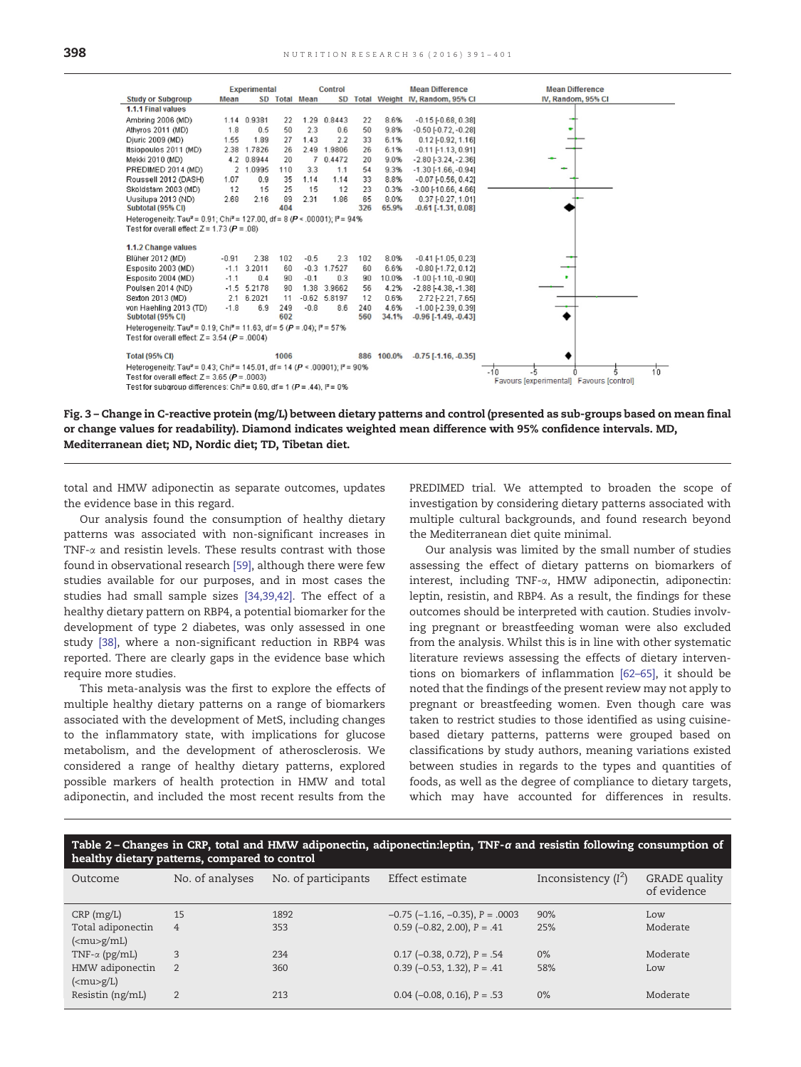<span id="page-7-0"></span>

Fig. 3 – Change in C-reactive protein (mg/L) between dietary patterns and control (presented as sub-groups based on mean final or change values for readability). Diamond indicates weighted mean difference with 95% confidence intervals. MD, Mediterranean diet; ND, Nordic diet; TD, Tibetan diet.

total and HMW adiponectin as separate outcomes, updates the evidence base in this regard.

Our analysis found the consumption of healthy dietary patterns was associated with non-significant increases in TNF-α and resistin levels. These results contrast with those found in observational research [\[59\]](#page-10-0), although there were few studies available for our purposes, and in most cases the studies had small sample sizes [\[34,39,42\].](#page-9-0) The effect of a healthy dietary pattern on RBP4, a potential biomarker for the development of type 2 diabetes, was only assessed in one study [\[38\],](#page-9-0) where a non-significant reduction in RBP4 was reported. There are clearly gaps in the evidence base which require more studies.

This meta-analysis was the first to explore the effects of multiple healthy dietary patterns on a range of biomarkers associated with the development of MetS, including changes to the inflammatory state, with implications for glucose metabolism, and the development of atherosclerosis. We considered a range of healthy dietary patterns, explored possible markers of health protection in HMW and total adiponectin, and included the most recent results from the

PREDIMED trial. We attempted to broaden the scope of investigation by considering dietary patterns associated with multiple cultural backgrounds, and found research beyond the Mediterranean diet quite minimal.

Our analysis was limited by the small number of studies assessing the effect of dietary patterns on biomarkers of interest, including TNF-α, HMW adiponectin, adiponectin: leptin, resistin, and RBP4. As a result, the findings for these outcomes should be interpreted with caution. Studies involving pregnant or breastfeeding woman were also excluded from the analysis. Whilst this is in line with other systematic literature reviews assessing the effects of dietary interventions on biomarkers of inflammation [62–[65\]](#page-10-0), it should be noted that the findings of the present review may not apply to pregnant or breastfeeding women. Even though care was taken to restrict studies to those identified as using cuisinebased dietary patterns, patterns were grouped based on classifications by study authors, meaning variations existed between studies in regards to the types and quantities of foods, as well as the degree of compliance to dietary targets, which may have accounted for differences in results.

| Table 2 – Changes in CRP, total and HMW adiponectin, adiponectin: leptin, TNF- $\alpha$ and resistin following consumption of<br>healthy dietary patterns, compared to control |  |  |  |  |  |                                            |
|--------------------------------------------------------------------------------------------------------------------------------------------------------------------------------|--|--|--|--|--|--------------------------------------------|
|                                                                                                                                                                                |  |  |  |  |  | <b>Contract Contract Contract Contract</b> |

| Outcome                               | No. of analyses | No. of participants | Effect estimate                            | Inconsistency $(I^2)$ | <b>GRADE</b> quality<br>of evidence |
|---------------------------------------|-----------------|---------------------|--------------------------------------------|-----------------------|-------------------------------------|
| $CRP$ (mg/L)                          | 15              | 1892                | $-0.75$ ( $-1.16$ , $-0.35$ ), $P = .0003$ | 90%                   | Low                                 |
| Total adiponectin                     | $\overline{4}$  | 353                 | $0.59$ (-0.82, 2.00), $P = .41$            | 25%                   | Moderate                            |
| $\langle$ mu>g/mL)                    |                 |                     |                                            |                       |                                     |
| TNF- $\alpha$ (pg/mL)                 | 3               | 234                 | $0.17$ (-0.38, 0.72), P = .54              | $0\%$                 | Moderate                            |
| HMW adiponectin<br>$(<\text{mu}>g/L)$ | $\overline{2}$  | 360                 | $0.39$ (-0.53, 1.32), P = .41              | 58%                   | Low                                 |
| Resistin (ng/mL)                      | $\overline{2}$  | 213                 | $0.04$ (-0.08, 0.16), P = .53              | $0\%$                 | Moderate                            |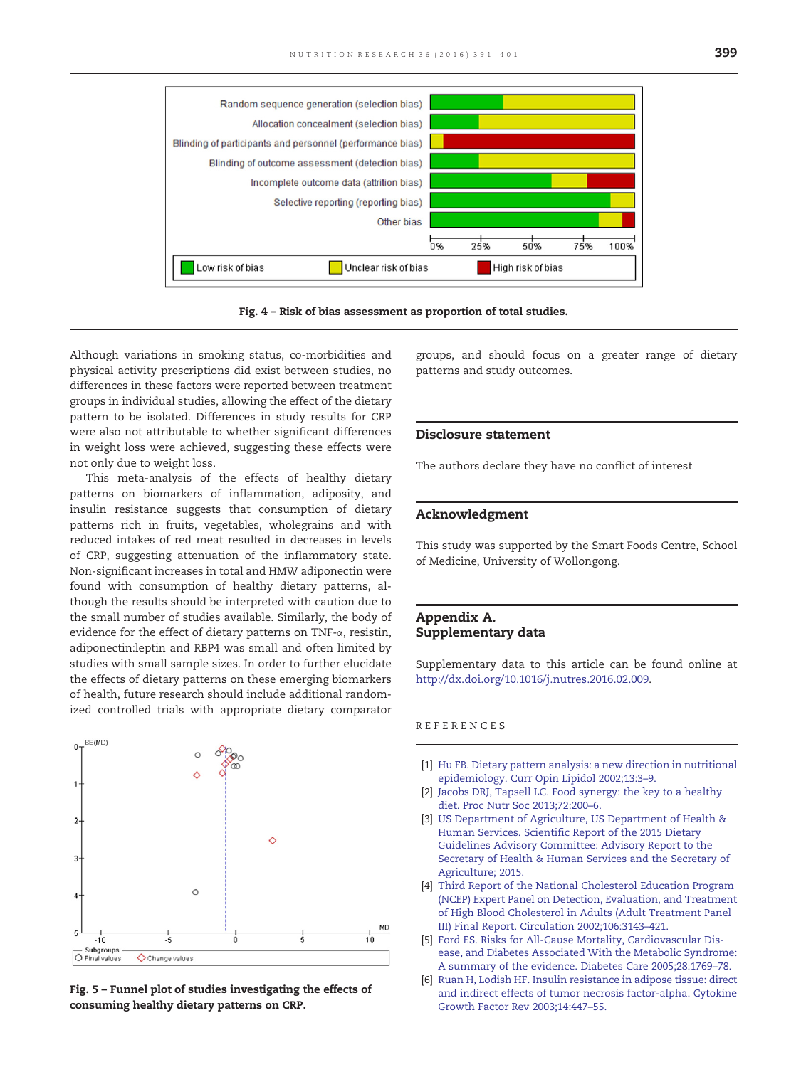<span id="page-8-0"></span>



Although variations in smoking status, co-morbidities and physical activity prescriptions did exist between studies, no differences in these factors were reported between treatment groups in individual studies, allowing the effect of the dietary pattern to be isolated. Differences in study results for CRP were also not attributable to whether significant differences in weight loss were achieved, suggesting these effects were not only due to weight loss.

This meta-analysis of the effects of healthy dietary patterns on biomarkers of inflammation, adiposity, and insulin resistance suggests that consumption of dietary patterns rich in fruits, vegetables, wholegrains and with reduced intakes of red meat resulted in decreases in levels of CRP, suggesting attenuation of the inflammatory state. Non-significant increases in total and HMW adiponectin were found with consumption of healthy dietary patterns, although the results should be interpreted with caution due to the small number of studies available. Similarly, the body of evidence for the effect of dietary patterns on TNF-α, resistin, adiponectin:leptin and RBP4 was small and often limited by studies with small sample sizes. In order to further elucidate the effects of dietary patterns on these emerging biomarkers of health, future research should include additional randomized controlled trials with appropriate dietary comparator



Fig. 5 – Funnel plot of studies investigating the effects of consuming healthy dietary patterns on CRP.

groups, and should focus on a greater range of dietary patterns and study outcomes.

#### Disclosure statement

The authors declare they have no conflict of interest

#### Acknowledgment

This study was supported by the Smart Foods Centre, School of Medicine, University of Wollongong.

#### Appendix A. Supplementary data

Supplementary data to this article can be found online at http://dx.doi.org/10.1016/j.nutres.2016.02.009.

#### **REFERENCES**

- [1] [Hu FB. Dietary pattern analysis: a new direction in nutritional](http://refhub.elsevier.com/S0271-5317(16)00050-6/rf0005) [epidemiology. Curr Opin Lipidol 2002;13:3](http://refhub.elsevier.com/S0271-5317(16)00050-6/rf0005)–9.
- [2] [Jacobs DRJ, Tapsell LC. Food synergy: the key to a healthy](http://refhub.elsevier.com/S0271-5317(16)00050-6/rf0010) [diet. Proc Nutr Soc 2013;72:200](http://refhub.elsevier.com/S0271-5317(16)00050-6/rf0010)–6.
- [3] [US Department of Agriculture, US Department of Health &](http://refhub.elsevier.com/S0271-5317(16)00050-6/rf0280) [Human Services. Scientific Report of the 2015 Dietary](http://refhub.elsevier.com/S0271-5317(16)00050-6/rf0280) [Guidelines Advisory Committee: Advisory Report to the](http://refhub.elsevier.com/S0271-5317(16)00050-6/rf0280) [Secretary of Health & Human Services and the Secretary of](http://refhub.elsevier.com/S0271-5317(16)00050-6/rf0280) [Agriculture; 2015.](http://refhub.elsevier.com/S0271-5317(16)00050-6/rf0280)
- [4] [Third Report of the National Cholesterol Education Program](http://refhub.elsevier.com/S0271-5317(16)00050-6/rf0285) [\(NCEP\) Expert Panel on Detection, Evaluation, and Treatment](http://refhub.elsevier.com/S0271-5317(16)00050-6/rf0285) [of High Blood Cholesterol in Adults \(Adult Treatment Panel](http://refhub.elsevier.com/S0271-5317(16)00050-6/rf0285) [III\) Final Report. Circulation 2002;106:3143](http://refhub.elsevier.com/S0271-5317(16)00050-6/rf0285)–421.
- [5] [Ford ES. Risks for All-Cause Mortality, Cardiovascular Dis](http://refhub.elsevier.com/S0271-5317(16)00050-6/rf0015)[ease, and Diabetes Associated With the Metabolic Syndrome:](http://refhub.elsevier.com/S0271-5317(16)00050-6/rf0015) [A summary of the evidence. Diabetes Care 2005;28:1769](http://refhub.elsevier.com/S0271-5317(16)00050-6/rf0015)–78.
- [6] [Ruan H, Lodish HF. Insulin resistance in adipose tissue: direct](http://refhub.elsevier.com/S0271-5317(16)00050-6/rf0020) [and indirect effects of tumor necrosis factor-alpha. Cytokine](http://refhub.elsevier.com/S0271-5317(16)00050-6/rf0020) [Growth Factor Rev 2003;14:447](http://refhub.elsevier.com/S0271-5317(16)00050-6/rf0020)–55.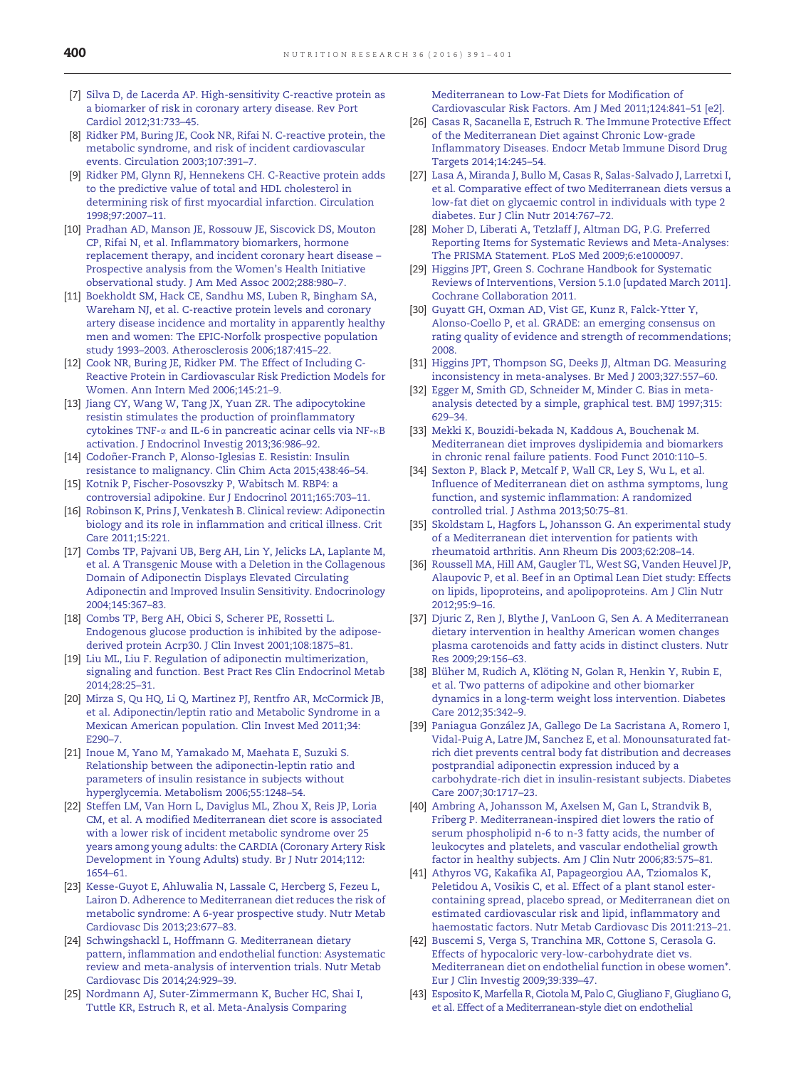- <span id="page-9-0"></span>[7] [Silva D, de Lacerda AP. High-sensitivity C-reactive protein as](http://refhub.elsevier.com/S0271-5317(16)00050-6/rf0025) [a biomarker of risk in coronary artery disease. Rev Port](http://refhub.elsevier.com/S0271-5317(16)00050-6/rf0025) [Cardiol 2012;31:733](http://refhub.elsevier.com/S0271-5317(16)00050-6/rf0025)–45.
- [8] [Ridker PM, Buring JE, Cook NR, Rifai N. C-reactive protein, the](http://refhub.elsevier.com/S0271-5317(16)00050-6/rf0030) [metabolic syndrome, and risk of incident cardiovascular](http://refhub.elsevier.com/S0271-5317(16)00050-6/rf0030) [events. Circulation 2003;107:391](http://refhub.elsevier.com/S0271-5317(16)00050-6/rf0030)–7.
- [9] [Ridker PM, Glynn RJ, Hennekens CH. C-Reactive protein adds](http://refhub.elsevier.com/S0271-5317(16)00050-6/rf0035) [to the predictive value of total and HDL cholesterol in](http://refhub.elsevier.com/S0271-5317(16)00050-6/rf0035) [determining risk of first myocardial infarction. Circulation](http://refhub.elsevier.com/S0271-5317(16)00050-6/rf0035) [1998;97:2007](http://refhub.elsevier.com/S0271-5317(16)00050-6/rf0035)–11.
- [10] [Pradhan AD, Manson JE, Rossouw JE, Siscovick DS, Mouton](http://refhub.elsevier.com/S0271-5317(16)00050-6/rf0040) [CP, Rifai N, et al. Inflammatory biomarkers, hormone](http://refhub.elsevier.com/S0271-5317(16)00050-6/rf0040) [replacement therapy, and incident coronary heart disease](http://refhub.elsevier.com/S0271-5317(16)00050-6/rf0040) – [Prospective analysis from the Women's Health Initiative](http://refhub.elsevier.com/S0271-5317(16)00050-6/rf0040) [observational study. J Am Med Assoc 2002;288:980](http://refhub.elsevier.com/S0271-5317(16)00050-6/rf0040)–7.
- [11] [Boekholdt SM, Hack CE, Sandhu MS, Luben R, Bingham SA,](http://refhub.elsevier.com/S0271-5317(16)00050-6/rf0045) [Wareham NJ, et al. C-reactive protein levels and coronary](http://refhub.elsevier.com/S0271-5317(16)00050-6/rf0045) [artery disease incidence and mortality in apparently healthy](http://refhub.elsevier.com/S0271-5317(16)00050-6/rf0045) [men and women: The EPIC-Norfolk prospective population](http://refhub.elsevier.com/S0271-5317(16)00050-6/rf0045) study 1993–[2003. Atherosclerosis 2006;187:415](http://refhub.elsevier.com/S0271-5317(16)00050-6/rf0045)–22.
- [12] [Cook NR, Buring JE, Ridker PM. The Effect of Including C-](http://refhub.elsevier.com/S0271-5317(16)00050-6/rf0050)[Reactive Protein in Cardiovascular Risk Prediction Models for](http://refhub.elsevier.com/S0271-5317(16)00050-6/rf0050) [Women. Ann Intern Med 2006;145:21](http://refhub.elsevier.com/S0271-5317(16)00050-6/rf0050)–9.
- [13] [Jiang CY, Wang W, Tang JX, Yuan ZR. The adipocytokine](http://refhub.elsevier.com/S0271-5317(16)00050-6/rf0055) [resistin stimulates the production of proinflammatory](http://refhub.elsevier.com/S0271-5317(16)00050-6/rf0055) cytokines TNF-α [and IL-6 in pancreatic acinar cells via NF-](http://refhub.elsevier.com/S0271-5317(16)00050-6/rf0055)κB [activation. J Endocrinol Investig 2013;36:986](http://refhub.elsevier.com/S0271-5317(16)00050-6/rf0055)–92.
- [14] [Codoñer-Franch P, Alonso-Iglesias E. Resistin: Insulin](http://refhub.elsevier.com/S0271-5317(16)00050-6/rf0060) [resistance to malignancy. Clin Chim Acta 2015;438:46](http://refhub.elsevier.com/S0271-5317(16)00050-6/rf0060)–54.
- [15] [Kotnik P, Fischer-Posovszky P, Wabitsch M. RBP4: a](http://refhub.elsevier.com/S0271-5317(16)00050-6/rf0065) [controversial adipokine. Eur J Endocrinol 2011;165:703](http://refhub.elsevier.com/S0271-5317(16)00050-6/rf0065)–11.
- [16] [Robinson K, Prins J, Venkatesh B. Clinical review: Adiponectin](http://refhub.elsevier.com/S0271-5317(16)00050-6/rf0290) [biology and its role in inflammation and critical illness. Crit](http://refhub.elsevier.com/S0271-5317(16)00050-6/rf0290) [Care 2011;15:221.](http://refhub.elsevier.com/S0271-5317(16)00050-6/rf0290)
- [17] [Combs TP, Pajvani UB, Berg AH, Lin Y, Jelicks LA, Laplante M,](http://refhub.elsevier.com/S0271-5317(16)00050-6/rf0070) [et al. A Transgenic Mouse with a Deletion in the Collagenous](http://refhub.elsevier.com/S0271-5317(16)00050-6/rf0070) [Domain of Adiponectin Displays Elevated Circulating](http://refhub.elsevier.com/S0271-5317(16)00050-6/rf0070) [Adiponectin and Improved Insulin Sensitivity. Endocrinology](http://refhub.elsevier.com/S0271-5317(16)00050-6/rf0070) [2004;145:367](http://refhub.elsevier.com/S0271-5317(16)00050-6/rf0070)–83.
- [18] [Combs TP, Berg AH, Obici S, Scherer PE, Rossetti L.](http://refhub.elsevier.com/S0271-5317(16)00050-6/rf0075) [Endogenous glucose production is inhibited by the adipose](http://refhub.elsevier.com/S0271-5317(16)00050-6/rf0075)[derived protein Acrp30. J Clin Invest 2001;108:1875](http://refhub.elsevier.com/S0271-5317(16)00050-6/rf0075)–81.
- [19] [Liu ML, Liu F. Regulation of adiponectin multimerization,](http://refhub.elsevier.com/S0271-5317(16)00050-6/rf0080) [signaling and function. Best Pract Res Clin Endocrinol Metab](http://refhub.elsevier.com/S0271-5317(16)00050-6/rf0080) [2014;28:25](http://refhub.elsevier.com/S0271-5317(16)00050-6/rf0080)–31.
- [20] [Mirza S, Qu HQ, Li Q, Martinez PJ, Rentfro AR, McCormick JB,](http://refhub.elsevier.com/S0271-5317(16)00050-6/rf0085) [et al. Adiponectin/leptin ratio and Metabolic Syndrome in a](http://refhub.elsevier.com/S0271-5317(16)00050-6/rf0085) [Mexican American population. Clin Invest Med 2011;34:](http://refhub.elsevier.com/S0271-5317(16)00050-6/rf0085) [E290](http://refhub.elsevier.com/S0271-5317(16)00050-6/rf0085)–7.
- [21] [Inoue M, Yano M, Yamakado M, Maehata E, Suzuki S.](http://refhub.elsevier.com/S0271-5317(16)00050-6/rf0090) [Relationship between the adiponectin-leptin ratio and](http://refhub.elsevier.com/S0271-5317(16)00050-6/rf0090) [parameters of insulin resistance in subjects without](http://refhub.elsevier.com/S0271-5317(16)00050-6/rf0090) [hyperglycemia. Metabolism 2006;55:1248](http://refhub.elsevier.com/S0271-5317(16)00050-6/rf0090)–54.
- [22] [Steffen LM, Van Horn L, Daviglus ML, Zhou X, Reis JP, Loria](http://refhub.elsevier.com/S0271-5317(16)00050-6/rf0095) [CM, et al. A modified Mediterranean diet score is associated](http://refhub.elsevier.com/S0271-5317(16)00050-6/rf0095) [with a lower risk of incident metabolic syndrome over 25](http://refhub.elsevier.com/S0271-5317(16)00050-6/rf0095) [years among young adults: the CARDIA \(Coronary Artery Risk](http://refhub.elsevier.com/S0271-5317(16)00050-6/rf0095) [Development in Young Adults\) study. Br J Nutr 2014;112:](http://refhub.elsevier.com/S0271-5317(16)00050-6/rf0095) [1654](http://refhub.elsevier.com/S0271-5317(16)00050-6/rf0095)–61.
- [23] [Kesse-Guyot E, Ahluwalia N, Lassale C, Hercberg S, Fezeu L,](http://refhub.elsevier.com/S0271-5317(16)00050-6/rf0100) [Lairon D. Adherence to Mediterranean diet reduces the risk of](http://refhub.elsevier.com/S0271-5317(16)00050-6/rf0100) [metabolic syndrome: A 6-year prospective study. Nutr Metab](http://refhub.elsevier.com/S0271-5317(16)00050-6/rf0100) [Cardiovasc Dis 2013;23:677](http://refhub.elsevier.com/S0271-5317(16)00050-6/rf0100)–83.
- [24] [Schwingshackl L, Hoffmann G. Mediterranean dietary](http://refhub.elsevier.com/S0271-5317(16)00050-6/rf0105) [pattern, inflammation and endothelial function: Asystematic](http://refhub.elsevier.com/S0271-5317(16)00050-6/rf0105) [review and meta-analysis of intervention trials. Nutr Metab](http://refhub.elsevier.com/S0271-5317(16)00050-6/rf0105) [Cardiovasc Dis 2014;24:929](http://refhub.elsevier.com/S0271-5317(16)00050-6/rf0105)–39.
- [25] [Nordmann AJ, Suter-Zimmermann K, Bucher HC, Shai I,](http://refhub.elsevier.com/S0271-5317(16)00050-6/rf0295) [Tuttle KR, Estruch R, et al. Meta-Analysis Comparing](http://refhub.elsevier.com/S0271-5317(16)00050-6/rf0295)

[Mediterranean to Low-Fat Diets for Modification of](http://refhub.elsevier.com/S0271-5317(16)00050-6/rf0295) [Cardiovascular Risk Factors. Am J Med 2011;124:841](http://refhub.elsevier.com/S0271-5317(16)00050-6/rf0295)–51 [e2].

- [26] [Casas R, Sacanella E, Estruch R. The Immune Protective Effect](http://refhub.elsevier.com/S0271-5317(16)00050-6/rf0110) [of the Mediterranean Diet against Chronic Low-grade](http://refhub.elsevier.com/S0271-5317(16)00050-6/rf0110) [Inflammatory Diseases. Endocr Metab Immune Disord Drug](http://refhub.elsevier.com/S0271-5317(16)00050-6/rf0110) [Targets 2014;14:245](http://refhub.elsevier.com/S0271-5317(16)00050-6/rf0110)–54.
- [27] [Lasa A, Miranda J, Bullo M, Casas R, Salas-Salvado J, Larretxi I,](http://refhub.elsevier.com/S0271-5317(16)00050-6/rf0300) [et al. Comparative effect of two Mediterranean diets versus a](http://refhub.elsevier.com/S0271-5317(16)00050-6/rf0300) [low-fat diet on glycaemic control in individuals with type 2](http://refhub.elsevier.com/S0271-5317(16)00050-6/rf0300) [diabetes. Eur J Clin Nutr 2014:767](http://refhub.elsevier.com/S0271-5317(16)00050-6/rf0300)–72.
- [28] [Moher D, Liberati A, Tetzlaff J, Altman DG, P.G. Preferred](http://refhub.elsevier.com/S0271-5317(16)00050-6/rf0115) [Reporting Items for Systematic Reviews and Meta-Analyses:](http://refhub.elsevier.com/S0271-5317(16)00050-6/rf0115) [The PRISMA Statement. PLoS Med 2009;6:e1000097.](http://refhub.elsevier.com/S0271-5317(16)00050-6/rf0115)
- [29] [Higgins JPT, Green S. Cochrane Handbook for Systematic](http://refhub.elsevier.com/S0271-5317(16)00050-6/rf0305) [Reviews of Interventions, Version 5.1.0 \[updated March 2011\].](http://refhub.elsevier.com/S0271-5317(16)00050-6/rf0305) [Cochrane Collaboration 2011.](http://refhub.elsevier.com/S0271-5317(16)00050-6/rf0305)
- [30] [Guyatt GH, Oxman AD, Vist GE, Kunz R, Falck-Ytter Y,](http://refhub.elsevier.com/S0271-5317(16)00050-6/rf0310) [Alonso-Coello P, et al. GRADE: an emerging consensus on](http://refhub.elsevier.com/S0271-5317(16)00050-6/rf0310) [rating quality of evidence and strength of recommendations;](http://refhub.elsevier.com/S0271-5317(16)00050-6/rf0310) [2008.](http://refhub.elsevier.com/S0271-5317(16)00050-6/rf0310)
- [31] [Higgins JPT, Thompson SG, Deeks JJ, Altman DG. Measuring](http://refhub.elsevier.com/S0271-5317(16)00050-6/rf0120) [inconsistency in meta-analyses. Br Med J 2003;327:557](http://refhub.elsevier.com/S0271-5317(16)00050-6/rf0120)–60.
- [32] [Egger M, Smith GD, Schneider M, Minder C. Bias in meta](http://refhub.elsevier.com/S0271-5317(16)00050-6/rf0125)[analysis detected by a simple, graphical test. BMJ 1997;315:](http://refhub.elsevier.com/S0271-5317(16)00050-6/rf0125) [629](http://refhub.elsevier.com/S0271-5317(16)00050-6/rf0125)–34.
- [33] [Mekki K, Bouzidi-bekada N, Kaddous A, Bouchenak M.](http://refhub.elsevier.com/S0271-5317(16)00050-6/rf0315) [Mediterranean diet improves dyslipidemia and biomarkers](http://refhub.elsevier.com/S0271-5317(16)00050-6/rf0315) [in chronic renal failure patients. Food Funct 2010:110](http://refhub.elsevier.com/S0271-5317(16)00050-6/rf0315)–5.
- [34] [Sexton P, Black P, Metcalf P, Wall CR, Ley S, Wu L, et al.](http://refhub.elsevier.com/S0271-5317(16)00050-6/rf0130) [Influence of Mediterranean diet on asthma symptoms, lung](http://refhub.elsevier.com/S0271-5317(16)00050-6/rf0130) [function, and systemic inflammation: A randomized](http://refhub.elsevier.com/S0271-5317(16)00050-6/rf0130) [controlled trial. J Asthma 2013;50:75](http://refhub.elsevier.com/S0271-5317(16)00050-6/rf0130)–81.
- [35] [Skoldstam L, Hagfors L, Johansson G. An experimental study](http://refhub.elsevier.com/S0271-5317(16)00050-6/rf0135) [of a Mediterranean diet intervention for patients with](http://refhub.elsevier.com/S0271-5317(16)00050-6/rf0135) [rheumatoid arthritis. Ann Rheum Dis 2003;62:208](http://refhub.elsevier.com/S0271-5317(16)00050-6/rf0135)–14.
- [36] [Roussell MA, Hill AM, Gaugler TL, West SG, Vanden Heuvel JP,](http://refhub.elsevier.com/S0271-5317(16)00050-6/rf0140) [Alaupovic P, et al. Beef in an Optimal Lean Diet study: Effects](http://refhub.elsevier.com/S0271-5317(16)00050-6/rf0140) [on lipids, lipoproteins, and apolipoproteins. Am J Clin Nutr](http://refhub.elsevier.com/S0271-5317(16)00050-6/rf0140) [2012;95:9](http://refhub.elsevier.com/S0271-5317(16)00050-6/rf0140)–16.
- [37] [Djuric Z, Ren J, Blythe J, VanLoon G, Sen A. A Mediterranean](http://refhub.elsevier.com/S0271-5317(16)00050-6/rf0145) [dietary intervention in healthy American women changes](http://refhub.elsevier.com/S0271-5317(16)00050-6/rf0145) [plasma carotenoids and fatty acids in distinct clusters. Nutr](http://refhub.elsevier.com/S0271-5317(16)00050-6/rf0145) [Res 2009;29:156](http://refhub.elsevier.com/S0271-5317(16)00050-6/rf0145)–63.
- [38] [Blüher M, Rudich A, Klöting N, Golan R, Henkin Y, Rubin E,](http://refhub.elsevier.com/S0271-5317(16)00050-6/rf0150) [et al. Two patterns of adipokine and other biomarker](http://refhub.elsevier.com/S0271-5317(16)00050-6/rf0150) [dynamics in a long-term weight loss intervention. Diabetes](http://refhub.elsevier.com/S0271-5317(16)00050-6/rf0150) [Care 2012;35:342](http://refhub.elsevier.com/S0271-5317(16)00050-6/rf0150)–9.
- [39] [Paniagua González JA, Gallego De La Sacristana A, Romero I,](http://refhub.elsevier.com/S0271-5317(16)00050-6/rf0320) [Vidal-Puig A, Latre JM, Sanchez E, et al. Monounsaturated fat](http://refhub.elsevier.com/S0271-5317(16)00050-6/rf0320)[rich diet prevents central body fat distribution and decreases](http://refhub.elsevier.com/S0271-5317(16)00050-6/rf0320) [postprandial adiponectin expression induced by a](http://refhub.elsevier.com/S0271-5317(16)00050-6/rf0320) [carbohydrate-rich diet in insulin-resistant subjects. Diabetes](http://refhub.elsevier.com/S0271-5317(16)00050-6/rf0320) [Care 2007;30:1717](http://refhub.elsevier.com/S0271-5317(16)00050-6/rf0320)–23.
- [40] [Ambring A, Johansson M, Axelsen M, Gan L, Strandvik B,](http://refhub.elsevier.com/S0271-5317(16)00050-6/rf0160) [Friberg P. Mediterranean-inspired diet lowers the ratio of](http://refhub.elsevier.com/S0271-5317(16)00050-6/rf0160) [serum phospholipid n-6 to n-3 fatty acids, the number of](http://refhub.elsevier.com/S0271-5317(16)00050-6/rf0160) [leukocytes and platelets, and vascular endothelial growth](http://refhub.elsevier.com/S0271-5317(16)00050-6/rf0160) [factor in healthy subjects. Am J Clin Nutr 2006;83:575](http://refhub.elsevier.com/S0271-5317(16)00050-6/rf0160)–81.
- [41] [Athyros VG, Kakafika AI, Papageorgiou AA, Tziomalos K,](http://refhub.elsevier.com/S0271-5317(16)00050-6/rf0325) [Peletidou A, Vosikis C, et al. Effect of a plant stanol ester](http://refhub.elsevier.com/S0271-5317(16)00050-6/rf0325)[containing spread, placebo spread, or Mediterranean diet on](http://refhub.elsevier.com/S0271-5317(16)00050-6/rf0325) [estimated cardiovascular risk and lipid, inflammatory and](http://refhub.elsevier.com/S0271-5317(16)00050-6/rf0325) [haemostatic factors. Nutr Metab Cardiovasc Dis 2011:213](http://refhub.elsevier.com/S0271-5317(16)00050-6/rf0325)–21.
- [42] [Buscemi S, Verga S, Tranchina MR, Cottone S, Cerasola G.](http://refhub.elsevier.com/S0271-5317(16)00050-6/rf0165) [Effects of hypocaloric very-low-carbohydrate diet vs.](http://refhub.elsevier.com/S0271-5317(16)00050-6/rf0165) [Mediterranean diet on endothelial function in obese women\\*.](http://refhub.elsevier.com/S0271-5317(16)00050-6/rf0165) [Eur J Clin Investig 2009;39:339](http://refhub.elsevier.com/S0271-5317(16)00050-6/rf0165)–47.
- [43] [Esposito K, Marfella R, Ciotola M, Palo C, Giugliano F, Giugliano G,](http://refhub.elsevier.com/S0271-5317(16)00050-6/rf0330) [et al. Effect of a Mediterranean-style diet on endothelial](http://refhub.elsevier.com/S0271-5317(16)00050-6/rf0330)